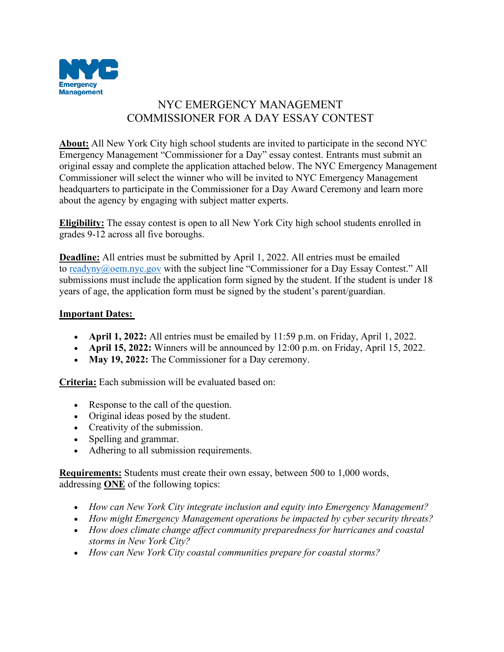

## NYC EMERGENCY MANAGEMENT COMMISSIONER FOR A DAY ESSAY CONTEST

**About:** All New York City high school students are invited to participate in the second NYC Emergency Management "Commissioner for a Day" essay contest. Entrants must submit an original essay and complete the application attached below. The NYC Emergency Management Commissioner will select the winner who will be invited to NYC Emergency Management headquarters to participate in the Commissioner for a Day Award Ceremony and learn more about the agency by engaging with subject matter experts.

**Eligibility:** The essay contest is open to all New York City high school students enrolled in grades 9-12 across all five boroughs.

**Deadline:** All entries must be submitted by April 1, 2022. All entries must be emailed to [readyny@oem.nyc.gov](mailto:readyny@oem.nyc.gov) with the subject line "Commissioner for a Day Essay Contest." All submissions must include the application form signed by the student. If the student is under 18 years of age, the application form must be signed by the student's parent/guardian.

## **Important Dates:**

- **April 1, 2022:** All entries must be emailed by 11:59 p.m. on Friday, April 1, 2022.
- **April 15, 2022:** Winners will be announced by 12:00 p.m. on Friday, April 15, 2022.
- May 19, 2022: The Commissioner for a Day ceremony.

**Criteria:** Each submission will be evaluated based on:

- Response to the call of the question.
- Original ideas posed by the student.
- Creativity of the submission.
- Spelling and grammar.
- Adhering to all submission requirements.

**Requirements:** Students must create their own essay, between 500 to 1,000 words, addressing **ONE** of the following topics:

- *How can New York City integrate inclusion and equity into Emergency Management?*
- *How might Emergency Management operations be impacted by cyber security threats?*
- *How does climate change affect community preparedness for hurricanes and coastal storms in New York City?*
- *How can New York City coastal communities prepare for coastal storms?*